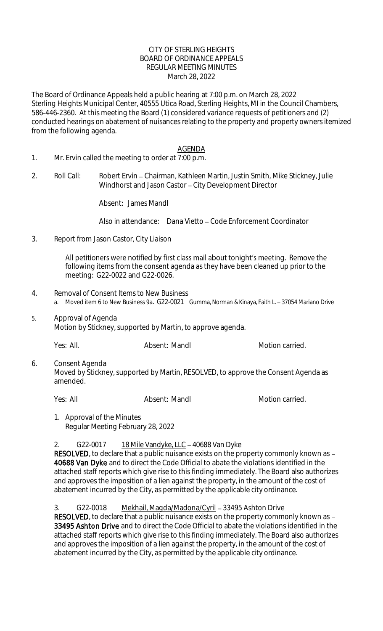#### CITY OF STERLING HEIGHTS BOARD OF ORDINANCE APPEALS REGULAR MEETING MINUTES March 28, 2022

The Board of Ordinance Appeals held a public hearing at 7:00 p.m. on March 28, 2022 Sterling Heights Municipal Center, 40555 Utica Road, Sterling Heights, MI in the Council Chambers, 586-446-2360. At this meeting the Board (1) considered variance requests of petitioners and (2) conducted hearings on abatement of nuisances relating to the property and property owners itemized from the following agenda.

### AGENDA

- 1. Mr. Ervin called the meeting to order at 7:00 p.m.
- 2. Roll Call: Robert Ervin Chairman, Kathleen Martin, Justin Smith, Mike Stickney, Julie Windhorst and Jason Castor - City Development Director

Absent: James Mandl

Also in attendance: Dana Vietto – Code Enforcement Coordinator

3. Report from Jason Castor, City Liaison

All petitioners were notified by first class mail about tonight's meeting. Remove the following items from the consent agenda as they have been cleaned up prior to the meeting: G22-0022 and G22-0026.

- 4. Removal of Consent Items to New Business a. Moved item 6 to New Business 9a. G22-0021 Gumma, Norman & Kinaya, Faith L. - 37054 Mariano Drive
- 5. Approval of Agenda Motion by Stickney, supported by Martin, to approve agenda.

Yes: All. Absent: Mandl Motion carried.

6. Consent Agenda Moved by Stickney, supported by Martin, RESOLVED, to approve the Consent Agenda as amended.

Yes: All **Absent: Mandl** Motion carried.

1. Approval of the Minutes Regular Meeting February 28, 2022

2. G22-0017 18 Mile Vandyke, LLC - 40688 Van Dyke

RESOLVED, to declare that a public nuisance exists on the property commonly known as -40688 Van Dyke and to direct the Code Official to abate the violations identified in the attached staff reports which give rise to this finding immediately. The Board also authorizes and approves the imposition of a lien against the property, in the amount of the cost of abatement incurred by the City, as permitted by the applicable city ordinance.

3. G22-0018 Mekhail, Magda/Madona/Cyril - 33495 Ashton Drive

RESOLVED, to declare that a public nuisance exists on the property commonly known as  $-$ 33495 Ashton Drive and to direct the Code Official to abate the violations identified in the attached staff reports which give rise to this finding immediately. The Board also authorizes and approves the imposition of a lien against the property, in the amount of the cost of abatement incurred by the City, as permitted by the applicable city ordinance.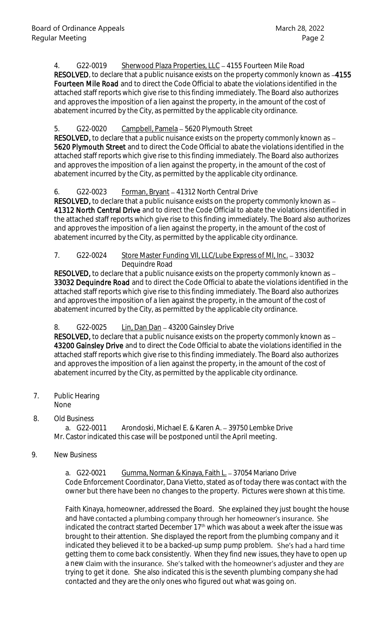4. G22-0019 Sherwood Plaza Properties, LLC - 4155 Fourteen Mile Road RESOLVED, to declare that a public nuisance exists on the property commonly known as -4155 Fourteen Mile Road and to direct the Code Official to abate the violations identified in the attached staff reports which give rise to this finding immediately. The Board also authorizes and approves the imposition of a lien against the property, in the amount of the cost of abatement incurred by the City, as permitted by the applicable city ordinance.

### 5. G22-0020 Campbell, Pamela - 5620 Plymouth Street

RESOLVED, to declare that a public nuisance exists on the property commonly known as -5620 Plymouth Street and to direct the Code Official to abate the violations identified in the attached staff reports which give rise to this finding immediately. The Board also authorizes and approves the imposition of a lien against the property, in the amount of the cost of abatement incurred by the City, as permitted by the applicable city ordinance.

### 6. G22-0023 Forman, Bryant - 41312 North Central Drive

RESOLVED, to declare that a public nuisance exists on the property commonly known as -41312 North Central Drive and to direct the Code Official to abate the violations identified in the attached staff reports which give rise to this finding immediately. The Board also authorizes and approves the imposition of a lien against the property, in the amount of the cost of abatement incurred by the City, as permitted by the applicable city ordinance.

#### 7. G22-0024 Store Master Funding VII, LLC/Lube Express of MI, Inc. - 33032 Dequindre Road

RESOLVED, to declare that a public nuisance exists on the property commonly known as -33032 Dequindre Road and to direct the Code Official to abate the violations identified in the attached staff reports which give rise to this finding immediately. The Board also authorizes and approves the imposition of a lien against the property, in the amount of the cost of abatement incurred by the City, as permitted by the applicable city ordinance.

# 8. G22-0025 Lin, Dan Dan - 43200 Gainsley Drive

RESOLVED, to declare that a public nuisance exists on the property commonly known as -43200 Gainsley Drive and to direct the Code Official to abate the violations identified in the attached staff reports which give rise to this finding immediately. The Board also authorizes and approves the imposition of a lien against the property, in the amount of the cost of abatement incurred by the City, as permitted by the applicable city ordinance.

7. Public Hearing None

# 8. Old Business

a. G22-0011 Arondoski, Michael E. & Karen A. - 39750 Lembke Drive Mr. Castor indicated this case will be postponed until the April meeting.

# 9. New Business

a. G22-0021 Gumma, Norman & Kinaya, Faith L. 37054 Mariano Drive Code Enforcement Coordinator, Dana Vietto, stated as of today there was contact with the owner but there have been no changes to the property. Pictures were shown at this time.

Faith Kinaya, homeowner, addressed the Board. She explained they just bought the house and have contacted a plumbing company through her homeowner's insurance. She indicated the contract started December 17<sup>th</sup> which was about a week after the issue was brought to their attention. She displayed the report from the plumbing company and it indicated they believed it to be a backed-up sump pump problem. She's had a hard time getting them to come back consistently. When they find new issues, they have to open up a new claim with the insurance. She's talked with the homeowner's adjuster and they are trying to get it done. She also indicated this is the seventh plumbing company she had contacted and they are the only ones who figured out what was going on.